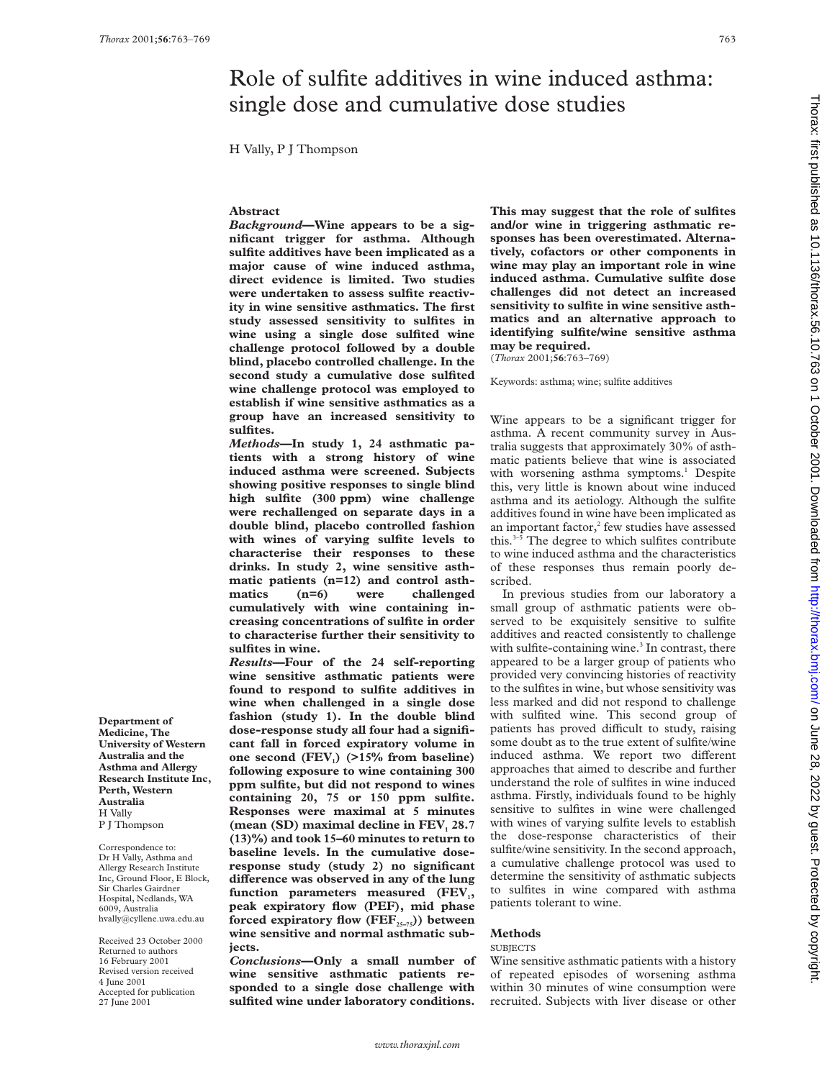# Role of sulfite additives in wine induced asthma: single dose and cumulative dose studies

H Vally, P J Thompson

### **Abstract**

*Background***—Wine appears to be a significant trigger for asthma. Although sulfite additives have been implicated as a major cause of wine induced asthma, direct evidence is limited. Two studies were undertaken to assess sulfite reactivity in wine sensitive asthmatics. The first study assessed sensitivity to sulfites in wine using a single dose sulfited wine challenge protocol followed by a double blind, placebo controlled challenge. In the second study a cumulative dose sulfited wine challenge protocol was employed to establish if wine sensitive asthmatics as a group have an increased sensitivity to sulfites.**

*Methods***—In study 1, 24 asthmatic patients with a strong history of wine induced asthma were screened. Subjects showing positive responses to single blind high sulfite (300 ppm) wine challenge were rechallenged on separate days in a double blind, placebo controlled fashion with wines of varying sulfite levels to characterise their responses to these drinks. In study 2, wine sensitive asthmatic patients (n=12) and control asthmatics (n=6) were challenged cumulatively with wine containing increasing concentrations of sulfite in order to characterise further their sensitivity to sulfites in wine.**

*Results***—Four of the 24 self-reporting wine sensitive asthmatic patients were found to respond to sulfite additives in wine when challenged in a single dose fashion (study 1). In the double blind dose-response study all four had a significant fall in forced expiratory volume in** one second (FEV<sub>1</sub>) (>15% from baseline) **following exposure to wine containing 300 ppm sulfite, but did not respond to wines containing 20, 75 or 150 ppm sulfite. Responses were maximal at 5 minutes** (mean (SD) maximal decline in FEV<sub>1</sub> 28.7 **(13)%) and took 15–60 minutes to return to baseline levels. In the cumulative doseresponse study (study 2) no significant** difference was observed in any of the lung function parameters measured (FEV<sub>1</sub>, **peak expiratory flow (PEF), mid phase** forced expiratory flow (FEF<sub>25-75</sub>)) between **wine sensitive and normal asthmatic subjects.**

*Conclusions***—Only a small number of wine sensitive asthmatic patients responded to a single dose challenge with sulfited wine under laboratory conditions.**

**This may suggest that the role of sulfites and/or wine in triggering asthmatic responses has been overestimated. Alternatively, cofactors or other components in wine may play an important role in wine induced asthma. Cumulative sulfite dose challenges did not detect an increased sensitivity to sulfite in wine sensitive asthmatics and an alternative approach to identifying sulfite/wine sensitive asthma may be required.**

(*Thorax* 2001;**56**:763–769)

Keywords: asthma; wine; sulfite additives

Wine appears to be a significant trigger for asthma. A recent community survey in Australia suggests that approximately 30% of asthmatic patients believe that wine is associated with worsening asthma symptoms.<sup>1</sup> Despite this, very little is known about wine induced asthma and its aetiology. Although the sulfite additives found in wine have been implicated as an important factor, $^{2}$  few studies have assessed this. $3-\overline{5}$  The degree to which sulfites contribute to wine induced asthma and the characteristics of these responses thus remain poorly described.

In previous studies from our laboratory a small group of asthmatic patients were observed to be exquisitely sensitive to sulfite additives and reacted consistently to challenge with sulfite-containing wine. $3$  In contrast, there appeared to be a larger group of patients who provided very convincing histories of reactivity to the sulfites in wine, but whose sensitivity was less marked and did not respond to challenge with sulfited wine. This second group of patients has proved difficult to study, raising some doubt as to the true extent of sulfite/wine induced asthma. We report two different approaches that aimed to describe and further understand the role of sulfites in wine induced asthma. Firstly, individuals found to be highly sensitive to sulfites in wine were challenged with wines of varying sulfite levels to establish the dose-response characteristics of their sulfite/wine sensitivity. In the second approach, a cumulative challenge protocol was used to determine the sensitivity of asthmatic subjects to sulfites in wine compared with asthma patients tolerant to wine.

### **Methods**

#### **SUBJECTS**

Wine sensitive asthmatic patients with a history of repeated episodes of worsening asthma within 30 minutes of wine consumption were recruited. Subjects with liver disease or other

**Department of Medicine, The University of Western Australia and the Asthma and Allergy Research Institute Inc, Perth, Western Australia** H Vally P J Thompson

Correspondence to: Dr H Vally, Asthma and Allergy Research Institute Inc, Ground Floor, E Block, Sir Charles Gairdner Hospital, Nedlands, WA 6009, Australia hvally@cyllene.uwa.edu.au

Received 23 October 2000 Returned to authors 16 February 2001 Revised version received 4 June 2001 Accepted for publication 27 June 2001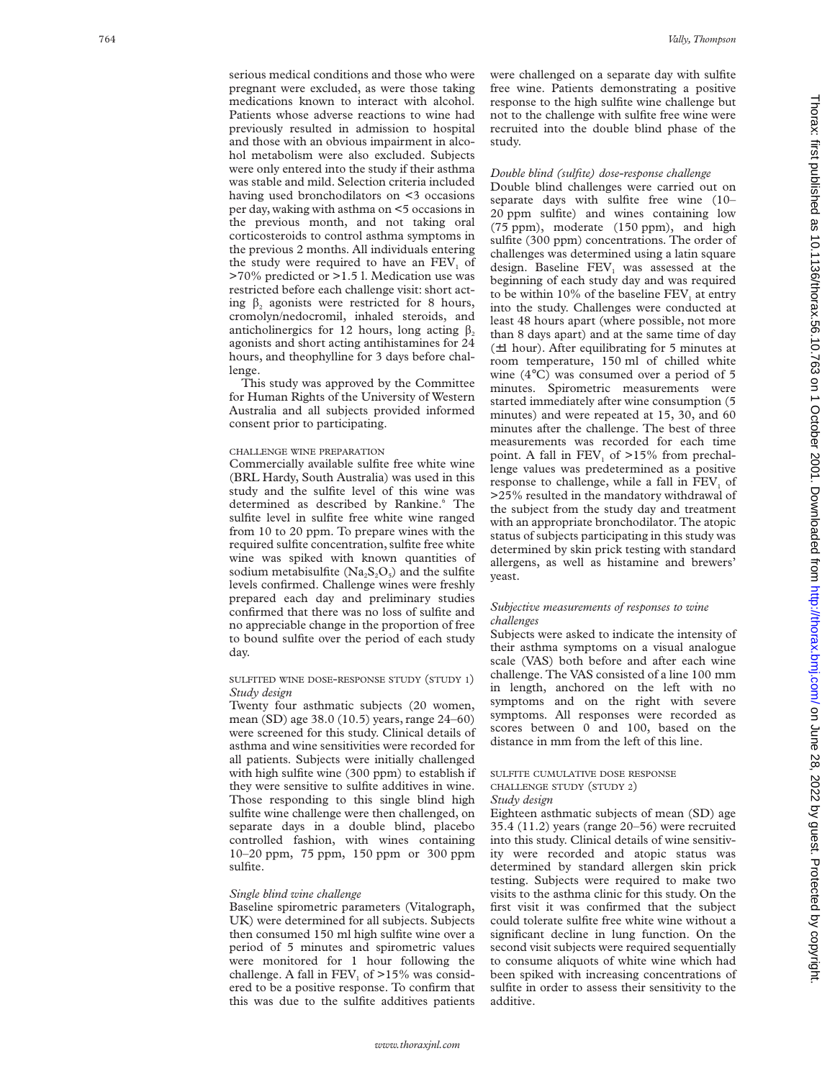serious medical conditions and those who were pregnant were excluded, as were those taking medications known to interact with alcohol. Patients whose adverse reactions to wine had previously resulted in admission to hospital and those with an obvious impairment in alcohol metabolism were also excluded. Subjects were only entered into the study if their asthma was stable and mild. Selection criteria included having used bronchodilators on <3 occasions per day, waking with asthma on <5 occasions in the previous month, and not taking oral corticosteroids to control asthma symptoms in the previous 2 months. All individuals entering the study were required to have an  $FEV<sub>1</sub>$  of >70% predicted or >1.5 l. Medication use was restricted before each challenge visit: short acting  $\beta$ , agonists were restricted for 8 hours, cromolyn/nedocromil, inhaled steroids, and anticholinergics for 12 hours, long acting  $\beta_2$ agonists and short acting antihistamines for 24 hours, and theophylline for 3 days before challenge.

This study was approved by the Committee for Human Rights of the University of Western Australia and all subjects provided informed consent prior to participating.

### CHALLENGE WINE PREPARATION

Commercially available sulfite free white wine (BRL Hardy, South Australia) was used in this study and the sulfite level of this wine was determined as described by Rankine. <sup>6</sup> The sulfite level in sulfite free white wine ranged from 10 to 20 ppm. To prepare wines with the required sulfite concentration, sulfite free white wine was spiked with known quantities of sodium metabisulfite  $(Na_2S_2O_5)$  and the sulfite levels confirmed. Challenge wines were freshly prepared each day and preliminary studies confirmed that there was no loss of sulfite and no appreciable change in the proportion of free to bound sulfite over the period of each study day.

### SULFITED WINE DOSE-RESPONSE STUDY (STUDY 1) *Study design*

Twenty four asthmatic subjects (20 women, mean (SD) age 38.0 (10.5) years, range 24–60) were screened for this study. Clinical details of asthma and wine sensitivities were recorded for all patients. Subjects were initially challenged with high sulfite wine (300 ppm) to establish if they were sensitive to sulfite additives in wine. Those responding to this single blind high sulfite wine challenge were then challenged, on separate days in a double blind, placebo controlled fashion, with wines containing 10–20 ppm, 75 ppm, 150 ppm or 300 ppm sulfite.

### *Single blind wine challenge*

Baseline spirometric parameters (Vitalograph, UK) were determined for all subjects. Subjects then consumed 150 ml high sulfite wine over a period of 5 minutes and spirometric values were monitored for 1 hour following the challenge. A fall in  $FEV_1$  of  $>15\%$  was considered to be a positive response. To confirm that this was due to the sulfite additives patients

were challenged on a separate day with sulfite free wine. Patients demonstrating a positive response to the high sulfite wine challenge but not to the challenge with sulfite free wine were recruited into the double blind phase of the study.

### *Double blind (sulfite) dose-response challenge*

Double blind challenges were carried out on separate days with sulfite free wine (10– 20 ppm sulfite) and wines containing low (75 ppm), moderate (150 ppm), and high sulfite (300 ppm) concentrations. The order of challenges was determined using a latin square design. Baseline FEV <sup>1</sup> was assessed at the beginning of each study day and was required to be within 10% of the baseline  $\text{FEV}_1$  at entry into the study. Challenges were conducted at least 48 hours apart (where possible, not more than 8 days apart) and at the same time of day  $(\pm 1$  hour). After equilibrating for 5 minutes at room temperature, 150 ml of chilled white wine (4 °C) was consumed over a period of 5 minutes. Spirometric measurements were started immediately after wine consumption (5 minutes) and were repeated at 15, 30, and 60 minutes after the challenge. The best of three measurements was recorded for each time point. A fall in  $FEV_1$  of  $>15\%$  from prechallenge values was predetermined as a positive response to challenge, while a fall in FEV <sup>1</sup> of >25% resulted in the mandatory withdrawal of the subject from the study day and treatment with an appropriate bronchodilator. The atopic status of subjects participating in this study was determined by skin prick testing with standard allergens, as well as histamine and brewers' yeast.

### *Subjective measurements of responses to wine challenges*

Subjects were asked to indicate the intensity of their asthma symptoms on a visual analogue scale (VAS) both before and after each wine challenge. The VAS consisted of a line 100 mm in length, anchored on the left with no symptoms and on the right with severe symptoms. All responses were recorded as scores between 0 and 100, based on the distance in mm from the left of this line.

# SULFITE CUMULATIVE DOSE RESPONSE CHALLENGE STUDY (STUDY 2 )

## *Study design*

Eighteen asthmatic subjects of mean (SD) age 35.4 (11.2) years (range 20–56) were recruited into this study. Clinical details of wine sensitivity were recorded and atopic status was determined by standard allergen skin prick testing. Subjects were required to make two visits to the asthma clinic for this study. On the first visit it was confirmed that the subject could tolerate sulfite free white wine without a significant decline in lung function. On the second visit subjects were required sequentially to consume aliquots of white wine which had been spiked with increasing concentrations of sulfite in order to assess their sensitivity to the additive.

Thorax: first published as 10.1136/thorax.56.10.763 on 1 October 2001. Downloaded from http://thorax.bmj.com/ on June 28, 2022 by guest. Protected by copyright Thorax: first published as 10.1136/thorax: 50.7.0.763 on 1 October 2001. Downloaded from thip://thorax.bmj.com/ on duplished as 10.1136/thorax: first published as 10.1136/thorax. Bublished as 2022 by guest. Protected by co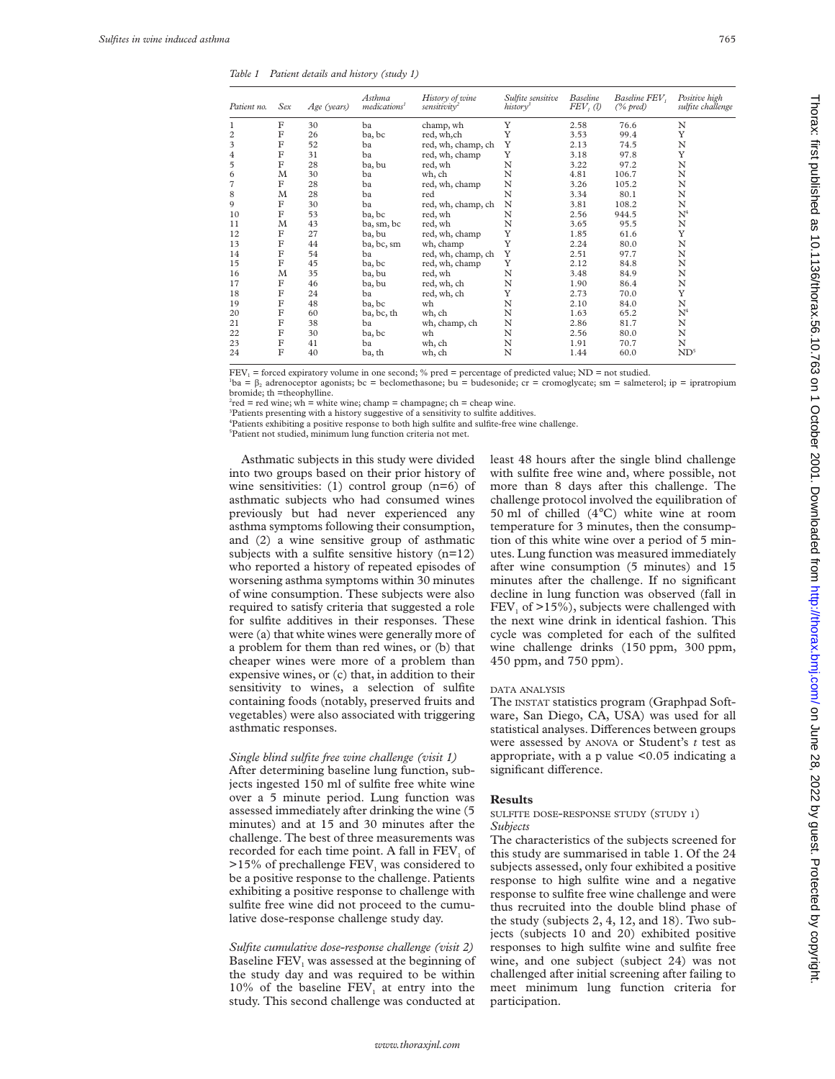*Table 1 Patient details and history (study 1)*

| Patient no.    | Sex         | Age (years) | Asthma<br>medications <sup>1</sup> | History of wine<br>sensitivity | Sulfite sensitive<br>history <sup>3</sup> | <b>Baseline</b><br>FEV, (1) | Baseline FEV,<br>$(\%$ pred) | Positive high<br>sulfite challenge |
|----------------|-------------|-------------|------------------------------------|--------------------------------|-------------------------------------------|-----------------------------|------------------------------|------------------------------------|
|                | F           | 30          | ba                                 | champ, wh                      | Y                                         | 2.58                        | 76.6                         | N                                  |
| $\overline{c}$ | $_{\rm F}$  | 26          | ba, bc                             | red, wh,ch                     | Y                                         | 3.53                        | 99.4                         | Y                                  |
| 3              | $_{\rm F}$  | 52          | ba                                 | red, wh, champ, ch             | Y                                         | 2.13                        | 74.5                         | N                                  |
| 4              | $\mathbf F$ | 31          | ba                                 | red, wh, champ                 | Y                                         | 3.18                        | 97.8                         | Y                                  |
| 5              | F           | 28          | ba, bu                             | red, wh                        | N                                         | 3.22                        | 97.2                         | N                                  |
| 6              | М           | 30          | ba                                 | wh, ch                         | N                                         | 4.81                        | 106.7                        | N                                  |
| 7              | F           | 28          | ba                                 | red, wh, champ                 | N                                         | 3.26                        | 105.2                        | N                                  |
| 8              | M           | 28          | ba                                 | red                            | N                                         | 3.34                        | 80.1                         | N                                  |
| 9              | F           | 30          | ba                                 | red, wh, champ, ch             | N                                         | 3.81                        | 108.2                        | N                                  |
| 10             | F           | 53          | ba, bc                             | red, wh                        | N                                         | 2.56                        | 944.5                        | $\mathrm{N}^4$                     |
| 11             | M           | 43          | ba, sm, bc                         | red, wh                        | N                                         | 3.65                        | 95.5                         | N                                  |
| 12             | F           | 27          | ba, bu                             | red, wh, champ                 | Y                                         | 1.85                        | 61.6                         | Y                                  |
| 13             | F           | 44          | ba, bc, sm                         | wh, champ                      | Y                                         | 2.24                        | 80.0                         | N                                  |
| 14             | F           | 54          | ba                                 | red, wh, champ, ch             | Y                                         | 2.51                        | 97.7                         | N                                  |
| 15             | F           | 45          | ba, bc                             | red, wh, champ                 | Y                                         | 2.12                        | 84.8                         | N                                  |
| 16             | M           | 35          | ba, bu                             | red, wh                        | N                                         | 3.48                        | 84.9                         | N                                  |
| 17             | F           | 46          | ba, bu                             | red, wh, ch                    | N                                         | 1.90                        | 86.4                         | N                                  |
| 18             | F           | 24          | ba                                 | red, wh, ch                    | Y                                         | 2.73                        | 70.0                         | Y                                  |
| 19             | F           | 48          | ba, bc                             | wh                             | N                                         | 2.10                        | 84.0                         | N                                  |
| 20             | F           | 60          | ba, bc, th                         | wh, ch                         | N                                         | 1.63                        | 65.2                         | $\mathrm{N}^4$                     |
| 21             | F           | 38          | ba                                 | wh, champ, ch                  | N                                         | 2.86                        | 81.7                         | N                                  |
| 22             | F           | 30          | ba, bc                             | wh                             | N                                         | 2.56                        | 80.0                         | N                                  |
| 23             | F           | 41          | ba                                 | wh, ch                         | N                                         | 1.91                        | 70.7                         | N                                  |
| 24             | F           | 40          | ba, th                             | wh, ch                         | N                                         | 1.44                        | 60.0                         | ND <sup>5</sup>                    |

 $FEV<sub>1</sub>$  = forced expiratory volume in one second; % pred = percentage of predicted value; ND = not studied.

 $b$ a =  $\beta_2$  adrenoceptor agonists; bc = beclomethasone; bu = budesonide; cr = cromoglycate; sm = salmeterol; ip = ipratropium bromide; th =theophylline.

 $^{2}$ red = red wine; wh = white wine; champ = champagne; ch = cheap wine.

<sup>3</sup>Patients presenting with a history suggestive of a sensitivity to sulfite additives.

4 Patients exhibiting a positive response to both high sulfite and sulfite-free wine challenge.

5 Patient not studied, minimum lung function criteria not met.

Asthmatic subjects in this study were divided into two groups based on their prior history of wine sensitivities: (1) control group (n=6) of asthmatic subjects who had consumed wines previously but had never experienced any asthma symptoms following their consumption, and (2) a wine sensitive group of asthmatic subjects with a sulfite sensitive history  $(n=12)$ who reported a history of repeated episodes of worsening asthma symptoms within 30 minutes of wine consumption. These subjects were also required to satisfy criteria that suggested a role for sulfite additives in their responses. These were (a) that white wines were generally more of a problem for them than red wines, or (b) that cheaper wines were more of a problem than expensive wines, or (c) that, in addition to their sensitivity to wines, a selection of sulfite containing foods (notably, preserved fruits and vegetables) were also associated with triggering asthmatic responses.

### *Single blind sulfite free wine challenge (visit 1)*

After determining baseline lung function, subjects ingested 150 ml of sulfite free white wine over a 5 minute period. Lung function was assessed immediately after drinking the wine (5 minutes) and at 15 and 30 minutes after the challenge. The best of three measurements was recorded for each time point. A fall in  $FEV<sub>1</sub>$  of  $>15\%$  of prechallenge FEV<sub>1</sub> was considered to be a positive response to the challenge. Patients exhibiting a positive response to challenge with sulfite free wine did not proceed to the cumulative dose-response challenge study day.

*Sulfite cumulative dose-response challenge (visit 2)* Baseline FEV, was assessed at the beginning of the study day and was required to be within 10% of the baseline  $FEV<sub>1</sub>$  at entry into the study. This second challenge was conducted at

least 48 hours after the single blind challenge with sulfite free wine and, where possible, not more than 8 days after this challenge. The challenge protocol involved the equilibration of 50 ml of chilled (4°C) white wine at room temperature for 3 minutes, then the consumption of this white wine over a period of 5 minutes. Lung function was measured immediately after wine consumption (5 minutes) and 15 minutes after the challenge. If no significant decline in lung function was observed (fall in  $FEV<sub>1</sub>$  of  $>15\%$ ), subjects were challenged with the next wine drink in identical fashion. This cycle was completed for each of the sulfited wine challenge drinks (150 ppm, 300 ppm, 450 ppm, and 750 ppm).

#### DATA ANALYSIS

The INSTAT statistics program (Graphpad Software, San Diego, CA, USA) was used for all statistical analyses. Differences between groups were assessed by ANOVA or Student's *t* test as appropriate, with a p value  $< 0.05$  indicating a significant difference.

### **Results**

### SULFITE DOSE-RESPONSE STUDY (STUDY 1) *Subjects*

The characteristics of the subjects screened for this study are summarised in table 1. Of the 24 subjects assessed, only four exhibited a positive response to high sulfite wine and a negative response to sulfite free wine challenge and were thus recruited into the double blind phase of the study (subjects 2, 4, 12, and 18). Two subjects (subjects 10 and 20) exhibited positive responses to high sulfite wine and sulfite free wine, and one subject (subject 24) was not challenged after initial screening after failing to meet minimum lung function criteria for participation.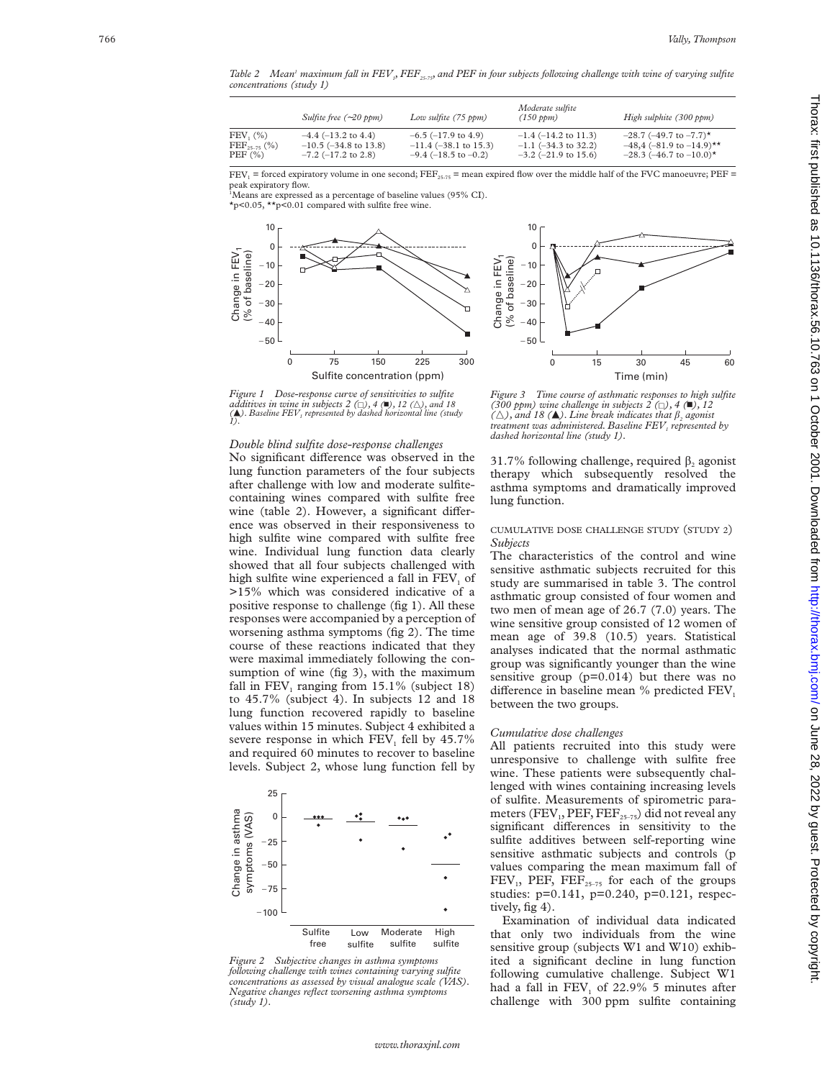*Table 2* Mean<sup>1</sup> maximum fall in FEV<sub>1</sub>, FEF<sub>25-75</sub>, and PEF in four subjects following challenge with wine of varying sulfite *concentrations (study 1)*

|                        | Sulfite free $(-20$ ppm)    | Low sulfite $(75$ ppm)   | Moderate sulfite<br>(150 ppm) | High sulphite (300 ppm)      |
|------------------------|-----------------------------|--------------------------|-------------------------------|------------------------------|
| FEV, (%)               | $-4.4$ ( $-13.2$ to $4.4$ ) | $-6.5$ ( $-17.9$ to 4.9) | $-1.4$ ( $-14.2$ to 11.3)     | $-28.7$ (-49.7 to -7.7)*     |
| $\rm{FEF}_{25-75}$ (%) | $-10.5$ ( $-34.8$ to 13.8)  | $-11.4$ (-38.1 to 15.3)  | $-1.1$ ( $-34.3$ to 32.2)     | $-48,4$ (-81.9 to -14.9)**   |
| PEF (%)                | $-7.2$ ( $-17.2$ to 2.8)    | $-9.4$ (-18.5 to -0.2)   | $-3.2$ ( $-21.9$ to 15.6)     | $-28.3$ (-46.7 to $-10.0$ )* |

 $FEV_1$  = forced expiratory volume in one second;  $FEF_{25-75}$  = mean expired flow over the middle half of the FVC manoeuvre;  $PEF =$ peak expiratory flow.

<sup>1</sup>Means are expressed as a percentage of baseline values (95% CI).

\*p<0.05, \*\*p<0.01 compared with sulfite free wine.

 $\frac{F}{F}$ 



*Figure 1 Dose-response curve of sensitivities to sulfite additives in wine in subjects 2* ( $\Box$ ), 4 ( $\Box$ ), 12 ( $\triangle$ ), and 18 ( $\Box$ ). Baseline FEV<sub>1</sub> represented by dashed horizontal line (study *1*).

### *Double blind sulfite dose-response challenges*

No significant difference was observed in the lung function parameters of the four subjects after challenge with low and moderate sulfitecontaining wines compared with sulfite free wine (table 2). However, a significant difference was observed in their responsiveness to high sulfite wine compared with sulfite free wine. Individual lung function data clearly showed that all four subjects challenged with high sulfite wine experienced a fall in FEV <sup>1</sup> of >15% which was considered indicative of a positive response to challenge (fig 1). All these responses were accompanied by a perception of worsening asthma symptoms (fig 2). The time course of these reactions indicated that they were maximal immediately following the consumption of wine (fig 3), with the maximum fall in  $FEV_1$  ranging from 15.1% (subject 18) to 45.7% (subject 4). In subjects 12 and 18 lung function recovered rapidly to baseline values within 15 minutes. Subject 4 exhibited a severe response in which  $FEV<sub>1</sub>$  fell by 45.7% and required 60 minutes to recover to baseline levels. Subject 2, whose lung function fell by



*Figure 2 Subjective changes in asthma symptoms following challenge with wines containing varying sulfite concentrations as assessed by visual analogue scale (VAS). Negative changes reflect worsening asthma symptoms*



*Figure 3 Time course of asthmatic responses to high sulfite (300 ppm) wine challenge in subjects*  $2 (\Box)$ ,  $4 (\blacksquare)$ ,  $12 (\triangle)$ , and  $18 (\blacktriangle)$ . Line break indicates that  $\beta_2$  agonist *treatment was administered. Baseline FEV1 represented by dashed horizontal line (study 1).*

31.7% following challenge, required  $\beta_2$  agonist therapy which subsequently resolved the asthma symptoms and dramatically improved lung function.

### CUMULATIVE DOSE CHALLENGE STUDY (STUDY 2 ) *Subjects*

The characteristics of the control and wine sensitive asthmatic subjects recruited for this study are summarised in table 3. The control asthmatic group consisted of four women and two men of mean age of 26.7 (7.0) years. The wine sensitive group consisted of 12 women of mean age of 39.8 (10.5) years. Statistical analyses indicated that the normal asthmatic group was significantly younger than the wine sensitive group (p=0.014) but there was no difference in baseline mean % predicted FEV<sub>1</sub> between the two groups.

### *Cumulative dose challenges*

All patients recruited into this study were unresponsive to challenge with sulfite free wine. These patients were subsequently challenged with wines containing increasing levels of sulfite. Measurements of spirometric parameters (FEV<sub>1</sub>, PEF, FEF<sub>25-75</sub>) did not reveal any significant differences in sensitivity to the sulfite additives between self-reporting wine sensitive asthmatic subjects and controls (p values comparing the mean maximum fall of  $FEV<sub>1</sub>$ , PEF,  $FEF<sub>25-75</sub>$  for each of the groups studies: p=0.141, p=0.240, p=0.121, respectively, fig 4).

Examination of individual data indicated that only two individuals from the wine sensitive group (subjects W1 and W10) exhibited a significant decline in lung function following cumulative challenge. Subject W1 had a fall in  $\text{FEV}_1$  of 22.9% 5 minutes after challenge with 300 ppm sulfite containing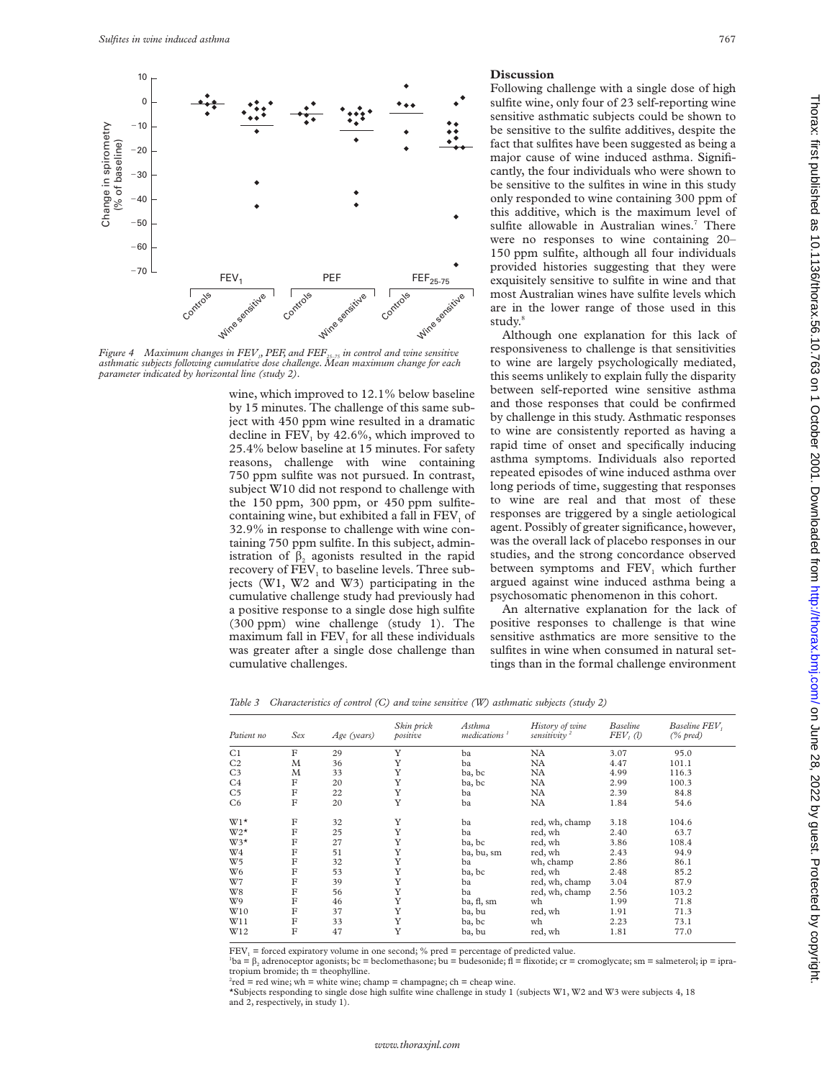

*Figure 4 Maximum changes in FEV1, PEF, and FEF25–75 in control and wine sensitive asthmatic subjects following cumulative dose challenge. Mean maximum change for each parameter indicated by horizontal line (study 2).*

wine, which improved to 12.1% below baseline by 15 minutes. The challenge of this same subject with 450 ppm wine resulted in a dramatic decline in  $FEV_1$  by 42.6%, which improved to 25.4% below baseline at 15 minutes. For safety reasons, challenge with wine containing 750 ppm sulfite was not pursued. In contrast, subject W10 did not respond to challenge with the 150 ppm, 300 ppm, or 450 ppm sulfitecontaining wine, but exhibited a fall in  $FEV<sub>1</sub>$  of 32.9% in response to challenge with wine containing 750 ppm sulfite. In this subject, administration of  $\beta$ , agonists resulted in the rapid recovery of FEV<sub>1</sub> to baseline levels. Three subjects (W1, W2 and W3) participating in the cumulative challenge study had previously had a positive response to a single dose high sulfite (300 ppm) wine challenge (study 1). The maximum fall in  $FEV<sub>1</sub>$  for all these individuals was greater after a single dose challenge than cumulative challenges.

### **Discussion**

Following challenge with a single dose of high sulfite wine, only four of 23 self-reporting wine sensitive asthmatic subjects could be shown to be sensitive to the sulfite additives, despite the fact that sulfites have been suggested as being a major cause of wine induced asthma. Significantly, the four individuals who were shown to be sensitive to the sulfites in wine in this study only responded to wine containing 300 ppm of this additive, which is the maximum level of sulfite allowable in Australian wines.<sup>7</sup> There were no responses to wine containing 20– 150 ppm sulfite, although all four individuals provided histories suggesting that they were exquisitely sensitive to sulfite in wine and that most Australian wines have sulfite levels which are in the lower range of those used in this study.<sup>8</sup>

Although one explanation for this lack of responsiveness to challenge is that sensitivities to wine are largely psychologically mediated, this seems unlikely to explain fully the disparity between self-reported wine sensitive asthma and those responses that could be confirmed by challenge in this study. Asthmatic responses to wine are consistently reported as having a rapid time of onset and specifically inducing asthma symptoms. Individuals also reported repeated episodes of wine induced asthma over long periods of time, suggesting that responses to wine are real and that most of these responses are triggered by a single aetiological agent. Possibly of greater significance, however, was the overall lack of placebo responses in our studies, and the strong concordance observed between symptoms and FEV<sub>1</sub> which further argued against wine induced asthma being a psychosomatic phenomenon in this cohort.

An alternative explanation for the lack of positive responses to challenge is that wine sensitive asthmatics are more sensitive to the sulfites in wine when consumed in natural settings than in the formal challenge environment

*Table 3 Characteristics of control (C) and wine sensitive (W) asthmatic subjects (study 2)*

| Patient no     | Sex         | Age (years) | Skin prick<br>positive | Asthma<br>medications <sup>1</sup> | History of wine<br>sensitivity $2$ | <b>Baseline</b><br>FEV <sub>1</sub> (l) | Baseline FEV,<br>$(\%$ pred) |
|----------------|-------------|-------------|------------------------|------------------------------------|------------------------------------|-----------------------------------------|------------------------------|
| C1             | $\mathbf F$ | 29          | Y                      | ba                                 | NA                                 | 3.07                                    | 95.0                         |
| C <sub>2</sub> | M           | 36          | Y                      | ba                                 | NA                                 | 4.47                                    | 101.1                        |
| C <sub>3</sub> | M           | 33          | Y                      | ba, bc                             | NA                                 | 4.99                                    | 116.3                        |
| C <sub>4</sub> | $\rm F$     | 20          | Y                      | ba, bc                             | NA                                 | 2.99                                    | 100.3                        |
| C <sub>5</sub> | F           | 22          | Y                      | ba                                 | NA                                 | 2.39                                    | 84.8                         |
| C <sub>6</sub> | F           | 20          | Y                      | ba                                 | NA                                 | 1.84                                    | 54.6                         |
| $W1*$          | F           | 32          | Y                      | ba                                 | red, wh, champ                     | 3.18                                    | 104.6                        |
| $W2*$          | F           | 25          | Y                      | ba                                 | red, wh                            | 2.40                                    | 63.7                         |
| $W3*$          | F           | 27          | Y                      | ba, bc                             | red, wh                            | 3.86                                    | 108.4                        |
| W <sub>4</sub> | F           | 51          | Y                      | ba, bu, sm                         | red, wh                            | 2.43                                    | 94.9                         |
| W <sub>5</sub> | F           | 32          | Y                      | ba                                 | wh, champ                          | 2.86                                    | 86.1                         |
| W <sub>6</sub> | $_{\rm F}$  | 53          | Y                      | ba, bc                             | red, wh                            | 2.48                                    | 85.2                         |
| W7             | $_{\rm F}$  | 39          | Y                      | ba                                 | red, wh, champ                     | 3.04                                    | 87.9                         |
| W8             | F           | 56          | Y                      | ba                                 | red, wh, champ                     | 2.56                                    | 103.2                        |
| W9             | $_{\rm F}$  | 46          | Y                      | ba, fl, sm                         | wh                                 | 1.99                                    | 71.8                         |
| W10            | F           | 37          | Y                      | ba, bu                             | red, wh                            | 1.91                                    | 71.3                         |
| W11            | F           | 33          | Y                      | ba, bc                             | wh                                 | 2.23                                    | 73.1                         |
| W12            | F           | 47          | Y                      | ba, bu                             | red, wh                            | 1.81                                    | 77.0                         |

 $FEV<sub>1</sub> =$  forced expiratory volume in one second; % pred = percentage of predicted value.

 $b$ a =  $\beta_2$  adrenoceptor agonists; bc = beclomethasone; bu = budesonide; fl = flixotide; cr = cromoglycate; sm = salmeterol; ip = ipratropium bromide;  $th =$  theophylline.

 $^{2}$ red = red wine; wh = white wine; champ = champagne; ch = cheap wine.

\*Subjects responding to single dose high sulfite wine challenge in study 1 (subjects W1, W2 and W3 were subjects 4, 18 and 2, respectively, in study 1).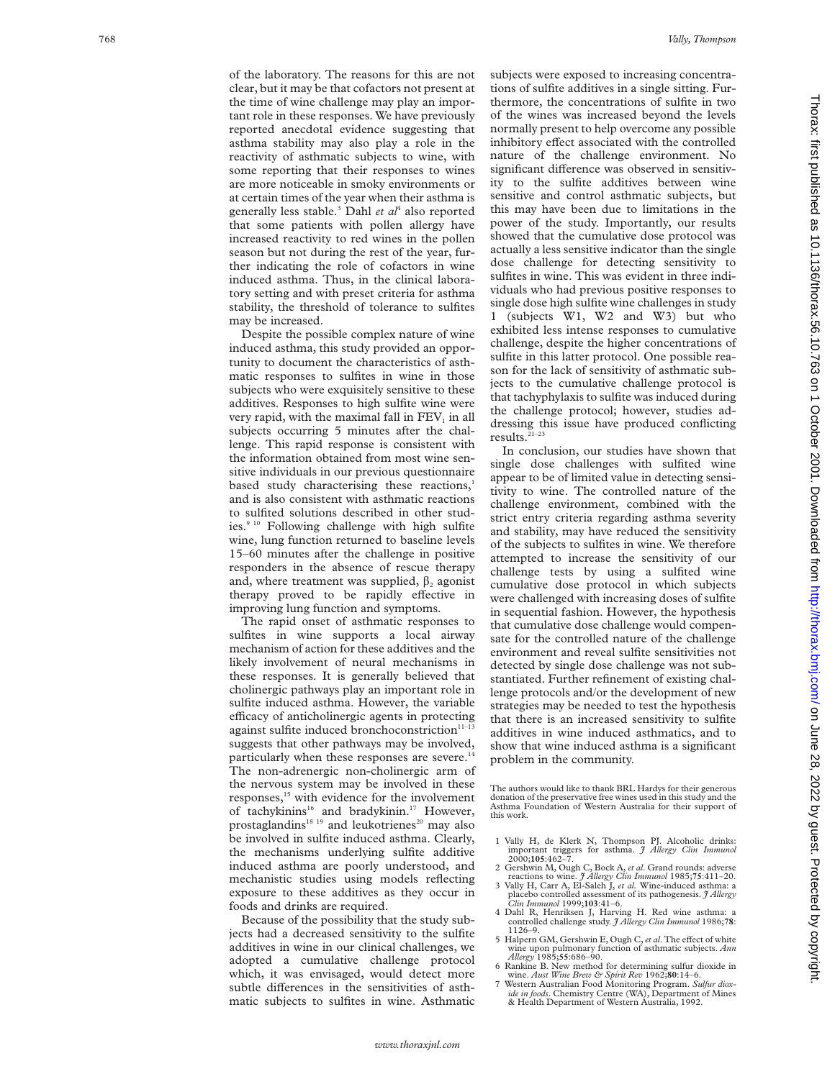of the laboratory. The reasons for this are not clear, but it may be that cofactors not present at the time of wine challenge may play an important role in these responses. We have previously reported anecdotal evidence suggesting that asthma stability may also play a role in the reactivity of asthmatic subjects to wine, with some reporting that their responses to wines are more noticeable in smoky environments or at certain times of the year when their asthma is generally less stable. <sup>3</sup> Dahl *et al*<sup>4</sup> also reported that some patients with pollen allergy have increased reactivity to red wines in the pollen season but not during the rest of the year, further indicating the role of cofactors in wine induced asthma. Thus, in the clinical laboratory setting and with preset criteria for asthma stability, the threshold of tolerance to sulfites may be increased.

Despite the possible complex nature of wine induced asthma, this study provided an opportunity to document the characteristics of asthmatic responses to sulfites in wine in those subjects who were exquisitely sensitive to these additives. Responses to high sulfite wine were very rapid, with the maximal fall in  $\rm{FEV}_{1}$  in all subjects occurring 5 minutes after the challenge. This rapid response is consistent with the information obtained from most wine sensitive individuals in our previous questionnaire based study characterising these reactions, 1 and is also consistent with asthmatic reactions to sulfited solutions described in other studies.<sup>9 10</sup> Following challenge with high sulfite wine, lung function returned to baseline levels 15–60 minutes after the challenge in positive responders in the absence of rescue therapy and, where treatment was supplied,  $\beta_2$  agonist therapy proved to be rapidly effective in improving lung function and symptoms.

The rapid onset of asthmatic responses to sulfites in wine supports a local airway mechanism of action for these additives and the likely involvement of neural mechanisms in these responses. It is generally believed that cholinergic pathways play an important role in sulfite induced asthma. However, the variable efficacy of anticholinergic agents in protecting against sulfite induced bronchoconstriction<sup>11-13</sup> suggests that other pathways may be involved, particularly when these responses are severe.<sup>1</sup> The non-adrenergic non-cholinergic arm of the nervous system may be involved in these responses,<sup>15</sup> with evidence for the involvement of tachykinins<sup>16</sup> and bradykinin.<sup>17</sup> However, prostaglandins<sup>18</sup> <sup>19</sup> and leukotrienes<sup>20</sup> may also be involved in sulfite induced asthma. Clearly, the mechanisms underlying sulfite additive induced asthma are poorly understood, and mechanistic studies using models reflecting exposure to these additives as they occur in foods and drinks are required.

Because of the possibility that the study subjects had a decreased sensitivity to the sulfite additives in wine in our clinical challenges, we adopted a cumulative challenge protocol which, it was envisaged, would detect more subtle differences in the sensitivities of asthmatic subjects to sulfites in wine. Asthmatic

subjects were exposed to increasing concentrations of sulfite additives in a single sitting. Furthermore, the concentrations of sulfite in two of the wines was increased beyond the levels normally present to help overcome any possible inhibitory effect associated with the controlled nature of the challenge environment. No significant difference was observed in sensitivity to the sulfite additives between wine sensitive and control asthmatic subjects, but this may have been due to limitations in the power of the study. Importantly, our results showed that the cumulative dose protocol was actually a less sensitive indicator than the single dose challenge for detecting sensitivity to sulfites in wine. This was evident in three individuals who had previous positive responses to single dose high sulfite wine challenges in study 1 (subjects W1, W2 and W3) but who exhibited less intense responses to cumulative challenge, despite the higher concentrations of sulfite in this latter protocol. One possible reason for the lack of sensitivity of asthmatic subjects to the cumulative challenge protocol is that tachyphylaxis to sulfite was induced during the challenge protocol; however, studies addressing this issue have produced conflicting results. $\sum_{21-23}$ 

In conclusion, our studies have shown that single dose challenges with sulfited wine appear to be of limited value in detecting sensitivity to wine. The controlled nature of the challenge environment, combined with the strict entry criteria regarding asthma severity and stability, may have reduced the sensitivity of the subjects to sulfites in wine. We therefore attempted to increase the sensitivity of our challenge tests by using a sulfited wine cumulative dose protocol in which subjects were challenged with increasing doses of sulfite in sequential fashion. However, the hypothesis that cumulative dose challenge would compensate for the controlled nature of the challenge environment and reveal sulfite sensitivities not detected by single dose challenge was not substantiated. Further refinement of existing challenge protocols and/or the development of new strategies may be needed to test the hypothesis that there is an increased sensitivity to sulfite additives in wine induced asthmatics, and to show that wine induced asthma is a significant problem in the community.

The authors would like to thank BRL Hardys for their generous donation of the preservative free wines used in this study and the Asthma Foundation of Western Australia for their support of this work.

- 1 Vally H, de Klerk N, Thompson PJ. Alcoholic drinks: important triggers for asthma. *J Allergy Clin Immunol* 2000;**105**:462–7.
- 2 Gershwin M, Ough C, Bock A, *et al*. Grand rounds: adverse
- reactions to wine. *J Allergy Clin Immunol* 1985;**75**:411–20. 3 Vally H, Carr A, El-Saleh J, *et al.* Wine-induced asthma: a placebo controlled assessment of its pathogenesis. *J Allergy Clin Immunol* 1999;**103**:41–6.
- 4 Dahl R, Henriksen J, Harving H. Red wine asthma: a controlled challenge study. *J Allergy Clin Immunol* 1986;**78** : 1126–9.
- 5 Halpern GM, Gershwin E, Ough C, et al. The effect of white wine upon pulmonary function of asthmatic subjects. *Ann Allergy* 1985;**55**:686–90.
- 6 Rankine B. New method for determining sulfur dioxide in wine. *Aust Wine Brew & Spirit Rev* 1962;**80**:14–6.
- 7 Western Australian Food Monitoring Program. *Sulfur dioxide in foods*. Chemistry Centre (WA), Department of Mines & Health Department of Western Australia, 1992.